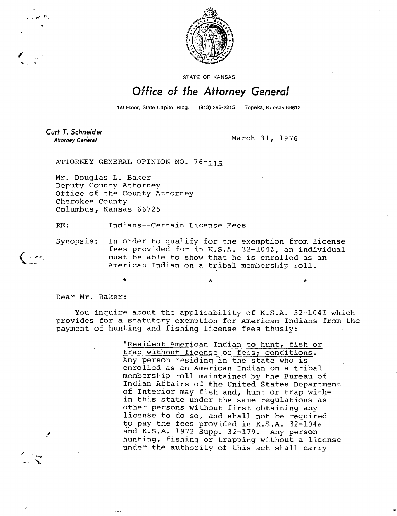

STATE OF KANSAS

## Office of the Attorney General

1st Floor, State Capitol Bldg. (913) 296-2215 Topeka, Kansas 66612

Curt T. Schneider

 $\left(\frac{1}{2}+\frac{1}{2}\right)$ 

Attorney General March 31, 1976

ATTORNEY GENERAL OPINION NO. 76-119

Mr. Douglas L. Baker Deputy County Attorney Office of the County Attorney Cherokee County Columbus, Kansas 66725

 $\star$ 

RE: Indians--Certain License Fees

Synopsis: In order to qualify for the exemption from license fees provided for in K.S.A. 32-104Z, an individual must be able to show that he is enrolled as an American Indian on a tribal membership roll.

Dear Mr. Baker:

You inquire about the applicability of K.S.A. 32-104*l* which provides for a statutory exemption for American Indians from the payment of hunting and fishing license fees thusly:

> "Resident American Indian to hunt, fish or trap without license or fees; conditions. Any person residing in the state who is enrolled as an American Indian on a tribal membership roll maintained by the Bureau of Indian Affairs of the United States Department of Interior may fish and, hunt or trap within this state under the same regulations as other persons without first obtaining any license to do so, and shall not be required to pay the fees provided in K.S.A. 32-104e and K.S.A. 1972 Supp. 32-179. Any person hunting, fishing or trapping without a license under the authority of this act shall carry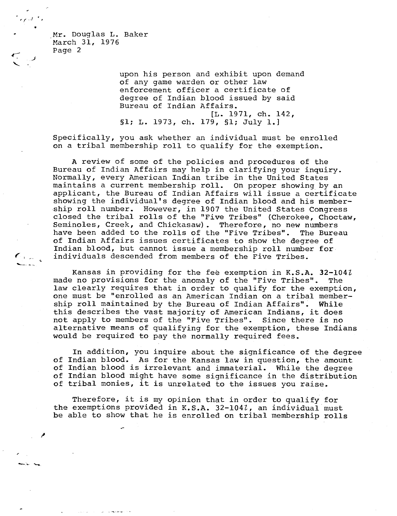Mr. Douglas L. Baker March 31, 1976 Page 2

 $\epsilon_{\rm max}$ 

upon his person and exhibit upon demand of any game warden or other law enforcement officer a certificate of degree of Indian blood issued by said Bureau of Indian Affairs. [L. 1971, ch. 142, §1; L. 1973, ch. 179, §1; July 1.]

Specifically, you ask whether an individual must be enrolled on a tribal membership roll to qualify for the exemption.

A review of some of the policies and procedures of the Bureau of Indian Affairs may help in clarifying your inquiry. Normally, every American Indian tribe in the United States maintains a current membership roll. On proper showing by an applicant, the Bureau of Indian Affairs will issue a certificate showing the individual's degree of Indian blood and his membership roll number. However, in 1907 the United States Congress closed the tribal rolls of the "Five Tribes" (Cherokee, Choctaw, Seminoles, Creek, and Chickasaw). Therefore, no new numbers have been added to the rolls of the "Five Tribes". The Bureau of Indian Affairs issues certificates to show the degree of Indian blood, but cannot issue a membership roll number for individuals descended from members of the Five Tribes.

Kansas in providing for the fee exemption in K.S.A. 32-1042 made no provisions for the anomaly of the "Five Tribes". The law clearly requires that in order to qualify for the exemption, one must be "enrolled as an American Indian on a tribal membership roll maintained by the Bureau of Indian Affairs". While this describes the vast majority of American Indians, it does not apply to members of the "Five Tribes". Since there is no alternative means of qualifying for the exemption, these Indians would be required to pay the normally required fees.

In addition, you inquire about the significance of the degree of Indian blood. As for the Kansas law in question, the amount of Indian blood is irrelevant and immaterial. While the degree of Indian blood might have some significance in the distribution of tribal monies, it is unrelated to the issues you raise.

Therefore, it is my opinion that in order to qualify for the exemptions provided in K.S.A. 32-1041, an individual must be able to show that he is enrolled on tribal membership rolls